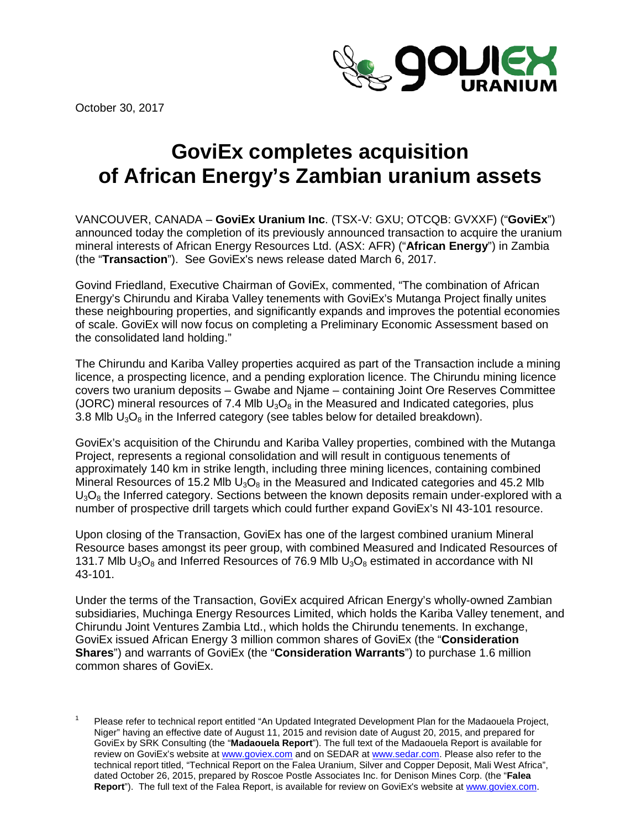October 30, 2017



# **GoviEx completes acquisition of African Energy's Zambian uranium assets**

VANCOUVER, CANADA – **GoviEx Uranium Inc**. (TSX-V: GXU; OTCQB: GVXXF) ("**GoviEx**") announced today the completion of its previously announced transaction to acquire the uranium mineral interests of African Energy Resources Ltd. (ASX: AFR) ("**African Energy**") in Zambia (the "**Transaction**"). See GoviEx's news release dated March 6, 2017.

Govind Friedland, Executive Chairman of GoviEx, commented, "The combination of African Energy's Chirundu and Kiraba Valley tenements with GoviEx's Mutanga Project finally unites these neighbouring properties, and significantly expands and improves the potential economies of scale. GoviEx will now focus on completing a Preliminary Economic Assessment based on the consolidated land holding."

The Chirundu and Kariba Valley properties acquired as part of the Transaction include a mining licence, a prospecting licence, and a pending exploration licence. The Chirundu mining licence covers two uranium deposits – Gwabe and Njame – containing Joint Ore Reserves Committee (JORC) mineral resources of 7.4 Mlb  $U_3O_8$  in the Measured and Indicated categories, plus 3.8 Mlb  $U_3O_8$  in the Inferred category (see tables below for detailed breakdown).

GoviEx's acquisition of the Chirundu and Kariba Valley properties, combined with the Mutanga Project, represents a regional consolidation and will result in contiguous tenements of approximately 140 km in strike length, including three mining licences, containing combined Mineral Resources of 15.2 Mlb  $U_3O_8$  in the Measured and Indicated categories and 45.2 Mlb  $U_3O_8$  the Inferred category. Sections between the known deposits remain under-explored with a number of prospective drill targets which could further expand GoviEx's NI 43-101 resource.

Upon closing of the Transaction, GoviEx has one of the largest combined uranium Mineral Resource bases amongst its peer group, with combined Measured and Indicated Resources of 131.7 Mlb  $U_3O_8$  and Inferred Resources of 76.9 Mlb  $U_3O_8$  estimated in accordance with NI 43-101.

Under the terms of the Transaction, GoviEx acquired African Energy's wholly-owned Zambian subsidiaries, Muchinga Energy Resources Limited, which holds the Kariba Valley tenement, and Chirundu Joint Ventures Zambia Ltd., which holds the Chirundu tenements. In exchange, GoviEx issued African Energy 3 million common shares of GoviEx (the "**Consideration Shares**") and warrants of GoviEx (the "**Consideration Warrants**") to purchase 1.6 million common shares of GoviEx.

Please refer to technical report entitled "An Updated Integrated Development Plan for the Madaouela Project, Niger" having an effective date of August 11, 2015 and revision date of August 20, 2015, and prepared for GoviEx by SRK Consulting (the "**Madaouela Report**"). The full text of the Madaouela Report is available for review on GoviEx's website at [www.goviex.com](http://www.goviex.com/) and on SEDAR a[t www.sedar.com.](http://www.sedar.com/) Please also refer to the technical report titled, "Technical Report on the Falea Uranium, Silver and Copper Deposit, Mali West Africa", dated October 26, 2015, prepared by Roscoe Postle Associates Inc. for Denison Mines Corp. (the "**Falea Report**"). The full text of the Falea Report, is available for review on GoviEx's website at [www.goviex.com.](http://www.goviex.com/)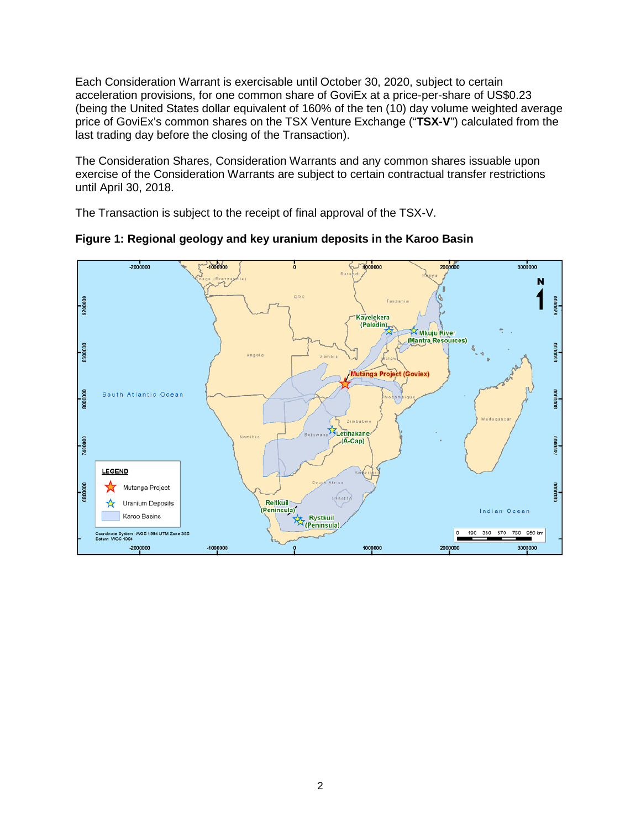Each Consideration Warrant is exercisable until October 30, 2020, subject to certain acceleration provisions, for one common share of GoviEx at a price-per-share of US\$0.23 (being the United States dollar equivalent of 160% of the ten (10) day volume weighted average price of GoviEx's common shares on the TSX Venture Exchange ("**TSX-V**") calculated from the last trading day before the closing of the Transaction).

The Consideration Shares, Consideration Warrants and any common shares issuable upon exercise of the Consideration Warrants are subject to certain contractual transfer restrictions until April 30, 2018.

The Transaction is subject to the receipt of final approval of the TSX-V.



**Figure 1: Regional geology and key uranium deposits in the Karoo Basin**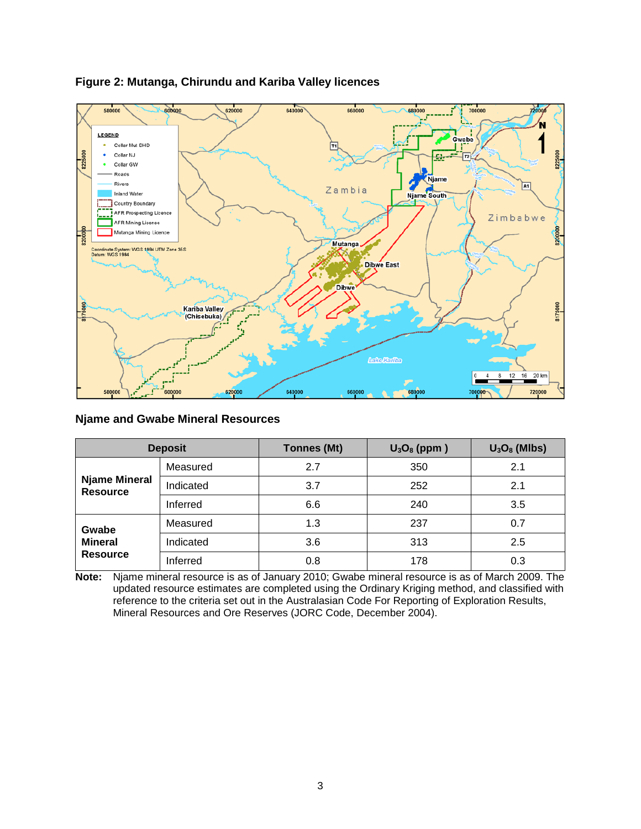

# **Figure 2: Mutanga, Chirundu and Kariba Valley licences**

## **Njame and Gwabe Mineral Resources**

| <b>Deposit</b>                             |           | <b>Tonnes (Mt)</b> | $U_3O_8$ (ppm) | $U_3O_8$ (MIbs) |  |
|--------------------------------------------|-----------|--------------------|----------------|-----------------|--|
| <b>Njame Mineral</b><br><b>Resource</b>    | Measured  | 2.7                | 350            | 2.1             |  |
|                                            | Indicated | 3.7                | 252            | 2.1             |  |
|                                            | Inferred  | 6.6                | 240            | 3.5             |  |
| Gwabe<br><b>Mineral</b><br><b>Resource</b> | Measured  | 1.3                | 237            | 0.7             |  |
|                                            | Indicated | 3.6                | 313            | 2.5             |  |
|                                            | Inferred  | 0.8                | 178            | 0.3             |  |

**Note:** Njame mineral resource is as of January 2010; Gwabe mineral resource is as of March 2009. The updated resource estimates are completed using the Ordinary Kriging method, and classified with reference to the criteria set out in the Australasian Code For Reporting of Exploration Results, Mineral Resources and Ore Reserves (JORC Code, December 2004).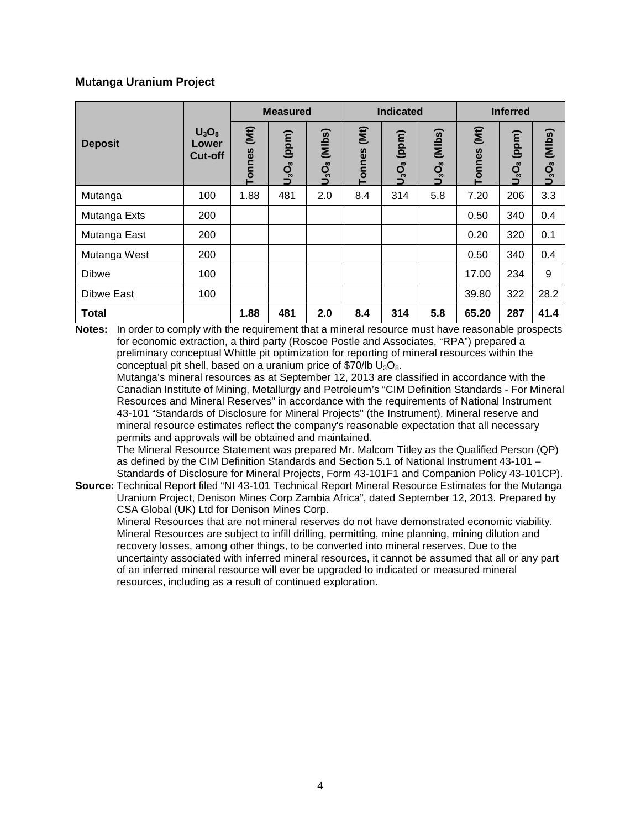## **Mutanga Uranium Project**

|                | $U_3O_8$<br>Lower<br><b>Cut-off</b> | <b>Measured</b>           |                | <b>Indicated</b>        |                | <b>Inferred</b>                        |                |                       |                      |                     |
|----------------|-------------------------------------|---------------------------|----------------|-------------------------|----------------|----------------------------------------|----------------|-----------------------|----------------------|---------------------|
| <b>Deposit</b> |                                     | $\widetilde{E}$<br>Tonnes | (ppm)<br>ပ္ခ်ဳ | (MIbs)<br><u>o</u><br>D | (Mt)<br>Tonnes | (ppm)<br>U <sub>3</sub> O <sub>8</sub> | (MIbs)<br>ပ္ဘီ | (Mt)<br><b>Tonnes</b> | (ppm)<br><u>ບໍລິ</u> | (MIIbs)<br>$O_3O_8$ |
| Mutanga        | 100                                 | 1.88                      | 481            | 2.0                     | 8.4            | 314                                    | 5.8            | 7.20                  | 206                  | 3.3                 |
| Mutanga Exts   | 200                                 |                           |                |                         |                |                                        |                | 0.50                  | 340                  | 0.4                 |
| Mutanga East   | 200                                 |                           |                |                         |                |                                        |                | 0.20                  | 320                  | 0.1                 |
| Mutanga West   | 200                                 |                           |                |                         |                |                                        |                | 0.50                  | 340                  | 0.4                 |
| <b>Dibwe</b>   | 100                                 |                           |                |                         |                |                                        |                | 17.00                 | 234                  | 9                   |
| Dibwe East     | 100                                 |                           |                |                         |                |                                        |                | 39.80                 | 322                  | 28.2                |
| <b>Total</b>   |                                     | 1.88                      | 481            | 2.0                     | 8.4            | 314                                    | 5.8            | 65.20                 | 287                  | 41.4                |

**Notes:** In order to comply with the requirement that a mineral resource must have reasonable prospects for economic extraction, a third party (Roscoe Postle and Associates, "RPA") prepared a preliminary conceptual Whittle pit optimization for reporting of mineral resources within the conceptual pit shell, based on a uranium price of \$70/lb  $U_3O_8$ .

Mutanga's mineral resources as at September 12, 2013 are classified in accordance with the Canadian Institute of Mining, Metallurgy and Petroleum's "CIM Definition Standards - For Mineral Resources and Mineral Reserves" in accordance with the requirements of National Instrument 43-101 "Standards of Disclosure for Mineral Projects" (the Instrument). Mineral reserve and mineral resource estimates reflect the company's reasonable expectation that all necessary permits and approvals will be obtained and maintained.

The Mineral Resource Statement was prepared Mr. Malcom Titley as the Qualified Person (QP) as defined by the CIM Definition Standards and Section 5.1 of National Instrument 43-101 – Standards of Disclosure for Mineral Projects, Form 43-101F1 and Companion Policy 43-101CP).

**Source:** Technical Report filed "NI 43-101 Technical Report Mineral Resource Estimates for the Mutanga Uranium Project, Denison Mines Corp Zambia Africa", dated September 12, 2013. Prepared by CSA Global (UK) Ltd for Denison Mines Corp.

Mineral Resources that are not mineral reserves do not have demonstrated economic viability. Mineral Resources are subject to infill drilling, permitting, mine planning, mining dilution and recovery losses, among other things, to be converted into mineral reserves. Due to the uncertainty associated with inferred mineral resources, it cannot be assumed that all or any part of an inferred mineral resource will ever be upgraded to indicated or measured mineral resources, including as a result of continued exploration.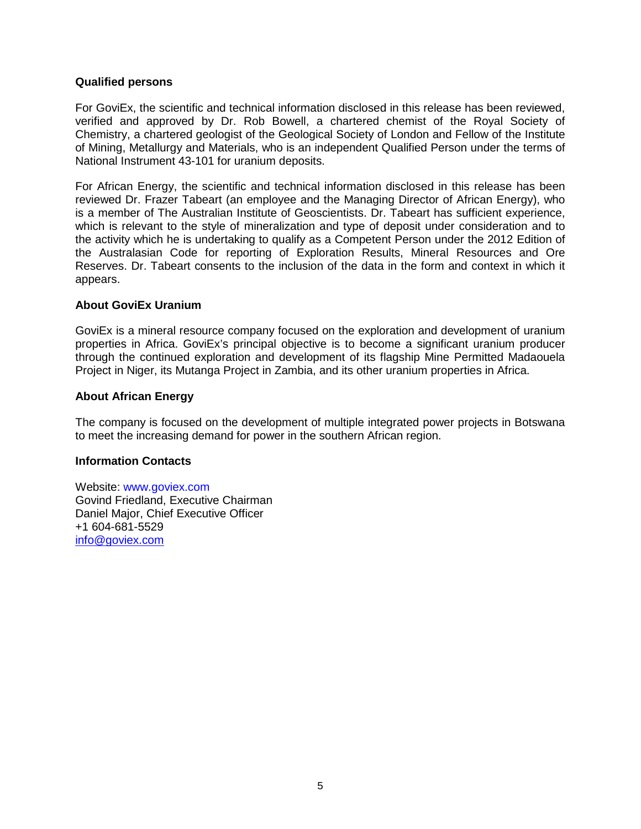#### **Qualified persons**

For GoviEx, the scientific and technical information disclosed in this release has been reviewed, verified and approved by Dr. Rob Bowell, a chartered chemist of the Royal Society of Chemistry, a chartered geologist of the Geological Society of London and Fellow of the Institute of Mining, Metallurgy and Materials, who is an independent Qualified Person under the terms of National Instrument 43-101 for uranium deposits.

For African Energy, the scientific and technical information disclosed in this release has been reviewed Dr. Frazer Tabeart (an employee and the Managing Director of African Energy), who is a member of The Australian Institute of Geoscientists. Dr. Tabeart has sufficient experience, which is relevant to the style of mineralization and type of deposit under consideration and to the activity which he is undertaking to qualify as a Competent Person under the 2012 Edition of the Australasian Code for reporting of Exploration Results, Mineral Resources and Ore Reserves. Dr. Tabeart consents to the inclusion of the data in the form and context in which it appears.

## **About GoviEx Uranium**

GoviEx is a mineral resource company focused on the exploration and development of uranium properties in Africa. GoviEx's principal objective is to become a significant uranium producer through the continued exploration and development of its flagship Mine Permitted Madaouela Project in Niger, its Mutanga Project in Zambia, and its other uranium properties in Africa.

#### **About African Energy**

The company is focused on the development of multiple integrated power projects in Botswana to meet the increasing demand for power in the southern African region.

#### **Information Contacts**

Website: www.goviex.com Govind Friedland, Executive Chairman Daniel Major, Chief Executive Officer +1 604-681-5529 [info@goviex.com](mailto:info@goviex.com)